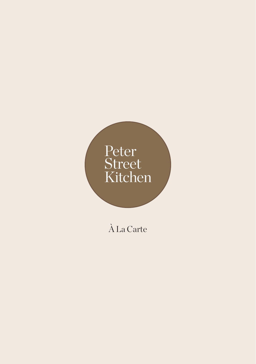# Peter<br>Street<br>Kitchen

# À La Carte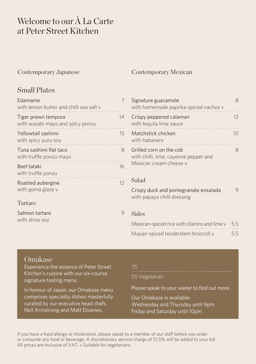# Welcome to our À La Carte at Peter Street Kitchen

## Contemporary Japanese Contemporary Mexican

# Small Plates

| <b>F</b> damame<br>with lemon butter and chilli sea salt y |    |
|------------------------------------------------------------|----|
| Tiger prawn tempura<br>with wasabi mayo and spicy ponzu    | 14 |
| Yellowtail sashimi<br>with spicy yuzu soy                  | 15 |
| Tuna sashimi flat taco<br>with truffle ponzu mayo          | 8  |
| Beef tataki<br>with truffle ponzu                          | 16 |
| Roasted aubergine<br>with goma glaze v                     | 12 |
| Tartare                                                    |    |
| Salmon tartare                                             |    |

| Signature guacamole<br>with homemade paprika-spiced nachos v                               | 8   |
|--------------------------------------------------------------------------------------------|-----|
| Crispy peppered calamari<br>with tequila lime sauce                                        | 12  |
| Matchstick chicken<br>with habanero                                                        | 10  |
| Grilled corn on the cob<br>with chilli, lime, cayenne pepper and<br>Mexican cream cheese v | 8   |
| Salad                                                                                      |     |
| Crispy duck and pomegranate ensalada<br>with papaya chilli dressing                        | 9   |
| Sides                                                                                      |     |
| Mexican-spiced rice with cilantro and lime v                                               | 5.5 |
| Mayan-spiced tenderstem broccoli v                                                         | 5.5 |

# Omakase

with shiso soy

Experience the essence of Peter Street Kitchen's cuisine with our six-course signature tasting menu.

In honour of Japan, our Omakase menu comprises speciality dishes masterfully curated by our executive head chefs, Neil Armstrong and Matt Downes.

# 75

55 Vegetarian

Please speak to your waiter to find out more.

Our Omakase is available: Wednesday and Thursday until 9pm Friday and Saturday until 10pm

If you have a food allergy or intolerance, please speak to a member of our staff before you order or consume any food or beverage. A discretionary service charge of 12.5% will be added to your bill. All prices are inclusive of VAT. v Suitable for vegetarians.